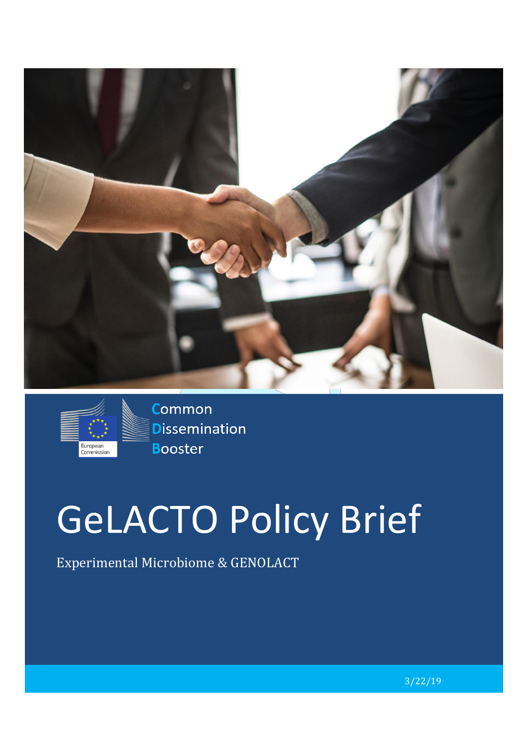



**Common Dissemination Booster** 

# GeLACTO Policy Brief

Experimental Microbiome & GENOLACT

3/22/19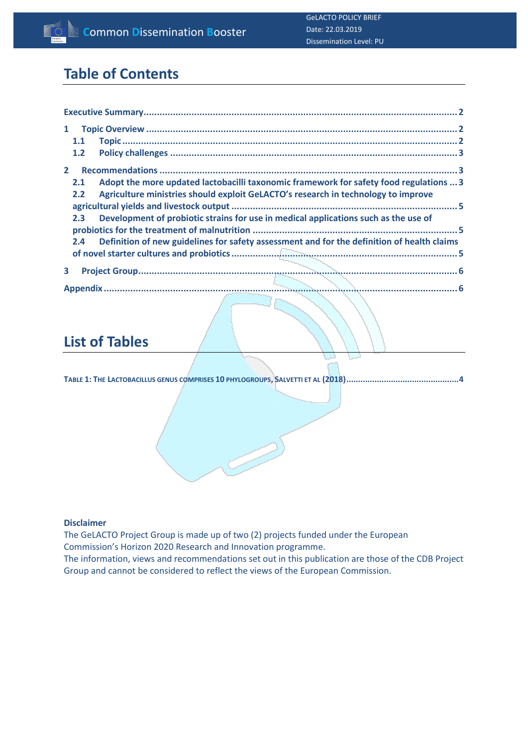# **Table of Contents**

| 1                                                                                                 |
|---------------------------------------------------------------------------------------------------|
| 1.1                                                                                               |
| 1.2                                                                                               |
| $\mathbf{2}$                                                                                      |
| Adopt the more updated lactobacilli taxonomic framework for safety food regulations  3<br>2.1     |
| Agriculture ministries should exploit GeLACTO's research in technology to improve<br>2.2          |
|                                                                                                   |
| Development of probiotic strains for use in medical applications such as the use of<br>2.3        |
|                                                                                                   |
| Definition of new guidelines for safety assessment and for the definition of health claims<br>2.4 |
|                                                                                                   |
| 3                                                                                                 |
|                                                                                                   |

# **List of Tables**

**TABLE 1: THE LACTOBACILLUS GENUS COMPRISES 10 PHYLOGROUPS, SALVETTI ET AL [\(2018\)................................................4](#page-4-0)**

#### **Disclaimer**

The GeLACTO Project Group is made up of two (2) projects funded under the European Commission's Horizon 2020 Research and Innovation programme. The information, views and recommendations set out in this publication are those of the CDB Project Group and cannot be considered to reflect the views of the European Commission.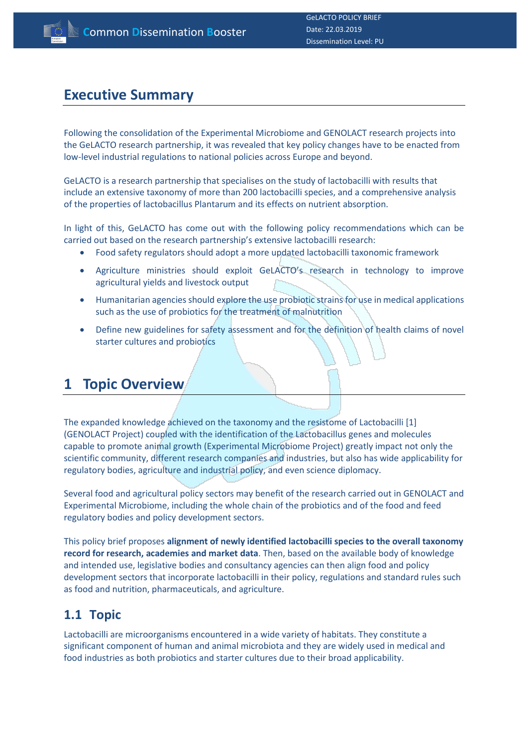#### <span id="page-2-0"></span>**Executive Summary**

Following the consolidation of the Experimental Microbiome and GENOLACT research projects into the GeLACTO research partnership, it was revealed that key policy changes have to be enacted from low-level industrial regulations to national policies across Europe and beyond.

GeLACTO is a research partnership that specialises on the study of lactobacilli with results that include an extensive taxonomy of more than 200 lactobacilli species, and a comprehensive analysis of the properties of lactobacillus Plantarum and its effects on nutrient absorption.

In light of this, GeLACTO has come out with the following policy recommendations which can be carried out based on the research partnership's extensive lactobacilli research:

- Food safety regulators should adopt a more updated lactobacilli taxonomic framework
- Agriculture ministries should exploit GeLACTO's research in technology to improve agricultural yields and livestock output
- Humanitarian agencies should explore the use probiotic strains for use in medical applications such as the use of probiotics for the treatment of malnutrition
- Define new guidelines for safety assessment and for the definition of health claims of novel starter cultures and probiotics

#### <span id="page-2-1"></span>**1 Topic Overview**

The expanded knowledge achieved on the taxonomy and the resistome of Lactobacilli [1] (GENOLACT Project) coupled with the identification of the Lactobacillus genes and molecules capable to promote animal growth (Experimental Microbiome Project) greatly impact not only the scientific community, different research companies and industries, but also has wide applicability for regulatory bodies, agriculture and industrial policy, and even science diplomacy.

Several food and agricultural policy sectors may benefit of the research carried out in GENOLACT and Experimental Microbiome, including the whole chain of the probiotics and of the food and feed regulatory bodies and policy development sectors.

This policy brief proposes **alignment of newly identified lactobacilli species to the overall taxonomy record for research, academies and market data**. Then, based on the available body of knowledge and intended use, legislative bodies and consultancy agencies can then align food and policy development sectors that incorporate lactobacilli in their policy, regulations and standard rules such as food and nutrition, pharmaceuticals, and agriculture.

#### <span id="page-2-2"></span>**1.1 Topic**

Lactobacilli are microorganisms encountered in a wide variety of habitats. They constitute a significant component of human and animal microbiota and they are widely used in medical and food industries as both probiotics and starter cultures due to their broad applicability.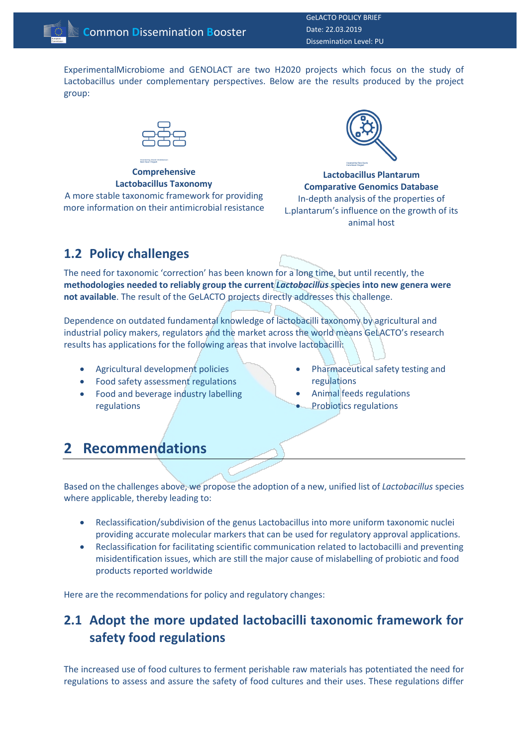GeLACTO POLICY BRIEF Date: 22.03.2019 Dissemination Level: PU

ExperimentalMicrobiome and GENOLACT are two H2020 projects which focus on the study of Lactobacillus under complementary perspectives. Below are the results produced by the project group:



**Comprehensive Lactobacillus Taxonomy** A more stable taxonomic framework for providing more information on their antimicrobial resistance



**Lactobacillus Plantarum Comparative Genomics Database** In-depth analysis of the properties of L.plantarum's influence on the growth of its animal host

#### <span id="page-3-0"></span>**1.2 Policy challenges**

The need for taxonomic 'correction' has been known for a long time, but until recently, the **methodologies needed to reliably group the current** *Lactobacillus* **species into new genera were not available**. The result of the GeLACTO projects directly addresses this challenge.

Dependence on outdated fundamental knowledge of lactobacilli taxonomy by agricultural and industrial policy makers, regulators and the market across the world means GeLACTO's research results has applications for the following areas that involve lactobacilli:

- Agricultural development policies
- Food safety assessment regulations
- Food and beverage industry labelling regulations
- Pharmaceutical safety testing and regulations
- Animal feeds regulations
- Probiotics regulations

#### <span id="page-3-1"></span>**2 Recommendations**

Based on the challenges above, we propose the adoption of a new, unified list of *Lactobacillus* species where applicable, thereby leading to:

- Reclassification/subdivision of the genus Lactobacillus into more uniform taxonomic nuclei providing accurate molecular markers that can be used for regulatory approval applications.
- Reclassification for facilitating scientific communication related to lactobacilli and preventing misidentification issues, which are still the major cause of mislabelling of probiotic and food products reported worldwide

<span id="page-3-2"></span>Here are the recommendations for policy and regulatory changes:

#### **2.1 Adopt the more updated lactobacilli taxonomic framework for safety food regulations**

The increased use of food cultures to ferment perishable raw materials has potentiated the need for regulations to assess and assure the safety of food cultures and their uses. These regulations differ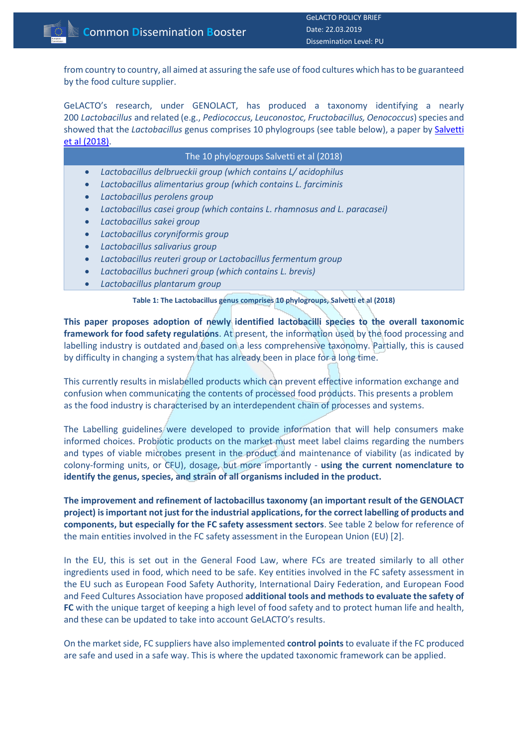from country to country, all aimed at assuring the safe use of food cultures which has to be guaranteed by the food culture supplier.

GeLACTO's research, under GENOLACT, has produced a taxonomy identifying a nearly 200 *Lactobacillus* and related (e.g., *Pediococcus, Leuconostoc, Fructobacillus, Oenococcus*) species and showed that the *Lactobacillus* genus comprises 10 phylogroups (see table below), a paper by [Salvetti](https://www.ncbi.nlm.nih.gov/pubmed/29915113)  et al [\(2018\).](https://www.ncbi.nlm.nih.gov/pubmed/29915113)

| The 10 phylogroups Salvetti et al (2018)                                              |
|---------------------------------------------------------------------------------------|
| Lactobacillus delbrueckii group (which contains L/ acidophilus<br>$\bullet$           |
| Lactobacillus alimentarius group (which contains L. farciminis<br>$\bullet$           |
| Lactobacillus perolens group<br>$\bullet$                                             |
| Lactobacillus casei group (which contains L. rhamnosus and L. paracasei)<br>$\bullet$ |
| Lactobacillus sakei group<br>$\bullet$                                                |
| Lactobacillus coryniformis group<br>$\bullet$                                         |
| Lactobacillus salivarius group<br>$\bullet$                                           |
| Lactobacillus reuteri group or Lactobacillus fermentum group<br>$\bullet$             |
| Lactobacillus buchneri group (which contains L. brevis)<br>$\bullet$                  |
| Lactobacillus plantarum group<br>$\bullet$                                            |
| Table 1: The Lactobacillus genus comprises 10 phylogroups, Salvetti et al (2018)      |

<span id="page-4-0"></span>**This paper proposes adoption of newly identified lactobacilli species to the overall taxonomic framework for food safety regulations**. At present, the information used by the food processing and labelling industry is outdated and based on a less comprehensive taxonomy. Partially, this is caused by difficulty in changing a system that has already been in place for a long time.

This currently results in mislabelled products which can prevent effective information exchange and confusion when communicating the contents of processed food products. This presents a problem as the food industry is characterised by an interdependent chain of processes and systems.

The Labelling guidelines were developed to provide information that will help consumers make informed choices. Probiotic products on the market must meet label claims regarding the numbers and types of viable microbes present in the product and maintenance of viability (as indicated by colony-forming units, or CFU), dosage, but more importantly - **using the current nomenclature to identify the genus, species, and strain of all organisms included in the product.**

**The improvement and refinement of lactobacillus taxonomy (an important result of the GENOLACT project) is important not just for the industrial applications, for the correct labelling of products and components, but especially for the FC safety assessment sectors**. See table 2 below for reference of the main entities involved in the FC safety assessment in the European Union (EU) [2].

In the EU, this is set out in the General Food Law, where FCs are treated similarly to all other ingredients used in food, which need to be safe. Key entities involved in the FC safety assessment in the EU such as European Food Safety Authority, International Dairy Federation, and European Food and Feed Cultures Association have proposed **additional tools and methods to evaluate the safety of FC** with the unique target of keeping a high level of food safety and to protect human life and health, and these can be updated to take into account GeLACTO's results.

On the market side, FC suppliers have also implemented **control points** to evaluate if the FC produced are safe and used in a safe way. This is where the updated taxonomic framework can be applied.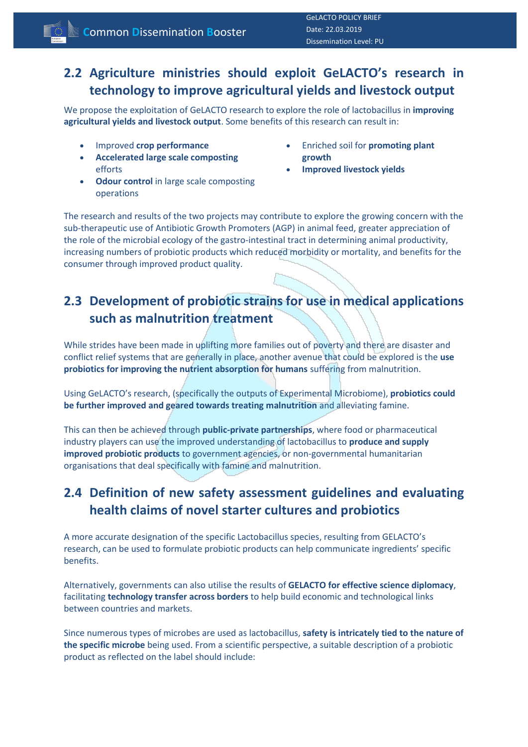#### <span id="page-5-0"></span>**2.2 Agriculture ministries should exploit GeLACTO's research in technology to improve agricultural yields and livestock output**

We propose the exploitation of GeLACTO research to explore the role of lactobacillus in **improving agricultural yields and livestock output**. Some benefits of this research can result in:

- Improved **crop performance**
- **Accelerated large scale composting** efforts
- **Odour control** in large scale composting operations
- Enriched soil for **promoting plant growth**
- **Improved livestock yields**

The research and results of the two projects may contribute to explore the growing concern with the sub-therapeutic use of Antibiotic Growth Promoters (AGP) in animal feed, greater appreciation of the role of the microbial ecology of the gastro-intestinal tract in determining animal productivity, increasing numbers of probiotic products which reduced morbidity or mortality, and benefits for the consumer through improved product quality.

#### <span id="page-5-1"></span>**2.3 Development of probiotic strains for use in medical applications such as malnutrition treatment**

While strides have been made in uplifting more families out of poverty and there are disaster and conflict relief systems that are generally in place, another avenue that could be explored is the **use probiotics for improving the nutrient absorption for humans** suffering from malnutrition.

Using GeLACTO's research, (specifically the outputs of Experimental Microbiome), **probiotics could be further improved and geared towards treating malnutrition** and alleviating famine.

This can then be achieved through **public-private partnerships**, where food or pharmaceutical industry players can use the improved understanding of lactobacillus to **produce and supply improved probiotic products** to government agencies, or non-governmental humanitarian organisations that deal specifically with famine and malnutrition.

#### <span id="page-5-2"></span>**2.4 Definition of new safety assessment guidelines and evaluating health claims of novel starter cultures and probiotics**

A more accurate designation of the specific Lactobacillus species, resulting from GELACTO's research, can be used to formulate probiotic products can help communicate ingredients' specific benefits.

Alternatively, governments can also utilise the results of **GELACTO for effective science diplomacy**, facilitating **technology transfer across borders** to help build economic and technological links between countries and markets.

Since numerous types of microbes are used as lactobacillus, **safety is intricately tied to the nature of the specific microbe** being used. From a scientific perspective, a suitable description of a probiotic product as reflected on the label should include: